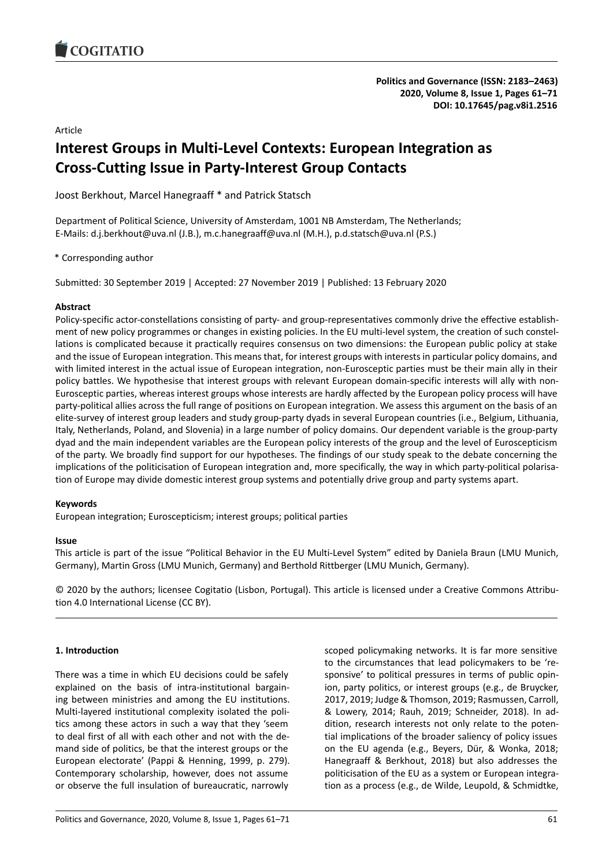### Article

# **Interest Groups in Multi-Level Contexts: European Integration as Cross-Cutting Issue in Party-Interest Group Contacts**

Joost Berkhout, Marcel Hanegraaff \* and Patrick Statsch

Department of Political Science, University of Amsterdam, 1001 NB Amsterdam, The Netherlands; E-Mails: d.j.berkhout@uva.nl (J.B.), m.c.hanegraaff@uva.nl (M.H.), p.d.statsch@uva.nl (P.S.)

# \* Corresponding author

Submitted: 30 September 2019 | Accepted: 27 November 2019 | Published: 13 February 2020

# **Abstract**

Policy-specific actor-constellations consisting of party- and group-representatives commonly drive the effective establishment of new policy programmes or changes in existing policies. In the EU multi-level system, the creation of such constellations is complicated because it practically requires consensus on two dimensions: the European public policy at stake and the issue of European integration. This means that, for interest groups with interests in particular policy domains, and with limited interest in the actual issue of European integration, non-Eurosceptic parties must be their main ally in their policy battles. We hypothesise that interest groups with relevant European domain-specific interests will ally with non-Eurosceptic parties, whereas interest groups whose interests are hardly affected by the European policy process will have party-political allies across the full range of positions on European integration. We assess this argument on the basis of an elite-survey of interest group leaders and study group-party dyads in several European countries (i.e., Belgium, Lithuania, Italy, Netherlands, Poland, and Slovenia) in a large number of policy domains. Our dependent variable is the group-party dyad and the main independent variables are the European policy interests of the group and the level of Euroscepticism of the party. We broadly find support for our hypotheses. The findings of our study speak to the debate concerning the implications of the politicisation of European integration and, more specifically, the way in which party-political polarisation of Europe may divide domestic interest group systems and potentially drive group and party systems apart.

# **Keywords**

European integration; Euroscepticism; interest groups; political parties

# **Issue**

This article is part of the issue "Political Behavior in the EU Multi-Level System" edited by Daniela Braun (LMU Munich, Germany), Martin Gross (LMU Munich, Germany) and Berthold Rittberger (LMU Munich, Germany).

© 2020 by the authors; licensee Cogitatio (Lisbon, Portugal). This article is licensed under a Creative Commons Attribution 4.0 International License (CC BY).

# **1. Introduction**

There was a time in which EU decisions could be safely explained on the basis of intra-institutional bargaining between ministries and among the EU institutions. Multi-layered institutional complexity isolated the politics among these actors in such a way that they 'seem to deal first of all with each other and not with the demand side of politics, be that the interest groups or the European electorate' (Pappi & Henning, 1999, p. 279). Contemporary scholarship, however, does not assume or observe the full insulation of bureaucratic, narrowly scoped policymaking networks. It is far more sensitive to the circumstances that lead policymakers to be 'responsive' to political pressures in terms of public opinion, party politics, or interest groups (e.g., de Bruycker, 2017, 2019; Judge & Thomson, 2019; Rasmussen, Carroll, & Lowery, 2014; Rauh, 2019; Schneider, 2018). In addition, research interests not only relate to the potential implications of the broader saliency of policy issues on the EU agenda (e.g., Beyers, Dür, & Wonka, 2018; Hanegraaff & Berkhout, 2018) but also addresses the politicisation of the EU as a system or European integration as a process (e.g., de Wilde, Leupold, & Schmidtke,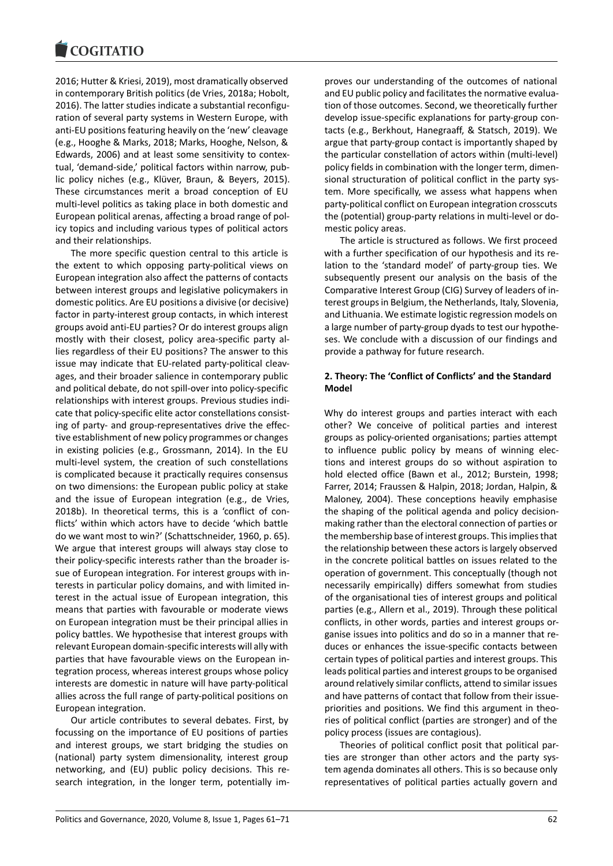2016; Hutter & Kriesi, 2019), most dramatically observed in contemporary British politics (de Vries, 2018a; Hobolt, 2016). The latter studies indicate a substantial reconfiguration of several party systems in Western Europe, with anti-EU positions featuring heavily on the 'new' cleavage (e.g., Hooghe & Marks, 2018; Marks, Hooghe, Nelson, & Edwards, 2006) and at least some sensitivity to contextual, 'demand-side,' political factors within narrow, public policy niches (e.g., Klüver, Braun, & Beyers, 2015). These circumstances merit a broad conception of EU multi-level politics as taking place in both domestic and European political arenas, affecting a broad range of policy topics and including various types of political actors and their relationships.

The more specific question central to this article is the extent to which opposing party-political views on European integration also affect the patterns of contacts between interest groups and legislative policymakers in domestic politics. Are EU positions a divisive (or decisive) factor in party-interest group contacts, in which interest groups avoid anti-EU parties? Or do interest groups align mostly with their closest, policy area-specific party allies regardless of their EU positions? The answer to this issue may indicate that EU-related party-political cleavages, and their broader salience in contemporary public and political debate, do not spill-over into policy-specific relationships with interest groups. Previous studies indicate that policy-specific elite actor constellations consisting of party- and group-representatives drive the effective establishment of new policy programmes or changes in existing policies (e.g., Grossmann, 2014). In the EU multi-level system, the creation of such constellations is complicated because it practically requires consensus on two dimensions: the European public policy at stake and the issue of European integration (e.g., de Vries, 2018b). In theoretical terms, this is a 'conflict of conflicts' within which actors have to decide 'which battle do we want most to win?' (Schattschneider, 1960, p. 65). We argue that interest groups will always stay close to their policy-specific interests rather than the broader issue of European integration. For interest groups with interests in particular policy domains, and with limited interest in the actual issue of European integration, this means that parties with favourable or moderate views on European integration must be their principal allies in policy battles. We hypothesise that interest groups with relevant European domain-specific interests will ally with parties that have favourable views on the European integration process, whereas interest groups whose policy interests are domestic in nature will have party-political allies across the full range of party-political positions on European integration.

Our article contributes to several debates. First, by focussing on the importance of EU positions of parties and interest groups, we start bridging the studies on (national) party system dimensionality, interest group networking, and (EU) public policy decisions. This research integration, in the longer term, potentially improves our understanding of the outcomes of national and EU public policy and facilitates the normative evaluation of those outcomes. Second, we theoretically further develop issue-specific explanations for party-group contacts (e.g., Berkhout, Hanegraaff, & Statsch, 2019). We argue that party-group contact is importantly shaped by the particular constellation of actors within (multi-level) policy fields in combination with the longer term, dimensional structuration of political conflict in the party system. More specifically, we assess what happens when party-political conflict on European integration crosscuts the (potential) group-party relations in multi-level or domestic policy areas.

The article is structured as follows. We first proceed with a further specification of our hypothesis and its relation to the 'standard model' of party-group ties. We subsequently present our analysis on the basis of the Comparative Interest Group (CIG) Survey of leaders of interest groups in Belgium, the Netherlands, Italy, Slovenia, and Lithuania. We estimate logistic regression models on a large number of party-group dyads to test our hypotheses. We conclude with a discussion of our findings and provide a pathway for future research.

### **2. Theory: The 'Conflict of Conflicts' and the Standard Model**

Why do interest groups and parties interact with each other? We conceive of political parties and interest groups as policy-oriented organisations; parties attempt to influence public policy by means of winning elections and interest groups do so without aspiration to hold elected office (Bawn et al., 2012; Burstein, 1998; Farrer, 2014; Fraussen & Halpin, 2018; Jordan, Halpin, & Maloney, 2004). These conceptions heavily emphasise the shaping of the political agenda and policy decisionmaking rather than the electoral connection of parties or the membership base of interest groups. This implies that the relationship between these actors is largely observed in the concrete political battles on issues related to the operation of government. This conceptually (though not necessarily empirically) differs somewhat from studies of the organisational ties of interest groups and political parties (e.g., Allern et al., 2019). Through these political conflicts, in other words, parties and interest groups organise issues into politics and do so in a manner that reduces or enhances the issue-specific contacts between certain types of political parties and interest groups. This leads political parties and interest groups to be organised around relatively similar conflicts, attend to similar issues and have patterns of contact that follow from their issuepriorities and positions. We find this argument in theories of political conflict (parties are stronger) and of the policy process (issues are contagious).

Theories of political conflict posit that political parties are stronger than other actors and the party system agenda dominates all others. This is so because only representatives of political parties actually govern and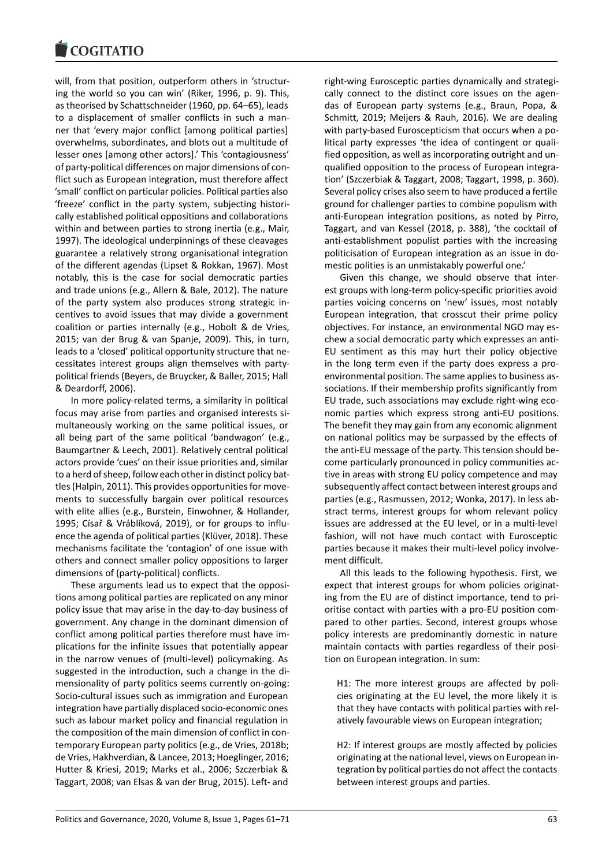will, from that position, outperform others in 'structuring the world so you can win' (Riker, 1996, p. 9). This, as theorised by Schattschneider (1960, pp. 64–65), leads to a displacement of smaller conflicts in such a manner that 'every major conflict [among political parties] overwhelms, subordinates, and blots out a multitude of lesser ones [among other actors].' This 'contagiousness' of party-political differences on major dimensions of conflict such as European integration, must therefore affect 'small' conflict on particular policies. Political parties also 'freeze' conflict in the party system, subjecting historically established political oppositions and collaborations within and between parties to strong inertia (e.g., Mair, 1997). The ideological underpinnings of these cleavages guarantee a relatively strong organisational integration of the different agendas (Lipset & Rokkan, 1967). Most notably, this is the case for social democratic parties and trade unions (e.g., Allern & Bale, 2012). The nature of the party system also produces strong strategic incentives to avoid issues that may divide a government coalition or parties internally (e.g., Hobolt & de Vries, 2015; van der Brug & van Spanje, 2009). This, in turn, leads to a 'closed' political opportunity structure that necessitates interest groups align themselves with partypolitical friends (Beyers, de Bruycker, & Baller, 2015; Hall & Deardorff, 2006).

In more policy-related terms, a similarity in political focus may arise from parties and organised interests simultaneously working on the same political issues, or all being part of the same political 'bandwagon' (e.g., Baumgartner & Leech, 2001). Relatively central political actors provide 'cues' on their issue priorities and, similar to a herd of sheep, follow each other in distinct policy battles (Halpin, 2011). This provides opportunities for movements to successfully bargain over political resources with elite allies (e.g., Burstein, Einwohner, & Hollander, 1995; Císař & Vráblíková, 2019), or for groups to influence the agenda of political parties (Klüver, 2018). These mechanisms facilitate the 'contagion' of one issue with others and connect smaller policy oppositions to larger dimensions of (party-political) conflicts.

These arguments lead us to expect that the oppositions among political parties are replicated on any minor policy issue that may arise in the day-to-day business of government. Any change in the dominant dimension of conflict among political parties therefore must have implications for the infinite issues that potentially appear in the narrow venues of (multi-level) policymaking. As suggested in the introduction, such a change in the dimensionality of party politics seems currently on-going: Socio-cultural issues such as immigration and European integration have partially displaced socio-economic ones such as labour market policy and financial regulation in the composition of the main dimension of conflict in contemporary European party politics (e.g., de Vries, 2018b; de Vries, Hakhverdian, & Lancee, 2013; Hoeglinger, 2016; Hutter & Kriesi, 2019; Marks et al., 2006; Szczerbiak & Taggart, 2008; van Elsas & van der Brug, 2015). Left- and

right-wing Eurosceptic parties dynamically and strategically connect to the distinct core issues on the agendas of European party systems (e.g., Braun, Popa, & Schmitt, 2019; Meijers & Rauh, 2016). We are dealing with party-based Euroscepticism that occurs when a political party expresses 'the idea of contingent or qualified opposition, as well as incorporating outright and unqualified opposition to the process of European integration' (Szczerbiak & Taggart, 2008; Taggart, 1998, p. 360). Several policy crises also seem to have produced a fertile ground for challenger parties to combine populism with anti-European integration positions, as noted by Pirro, Taggart, and van Kessel (2018, p. 388), 'the cocktail of anti-establishment populist parties with the increasing politicisation of European integration as an issue in domestic polities is an unmistakably powerful one.'

Given this change, we should observe that interest groups with long-term policy-specific priorities avoid parties voicing concerns on 'new' issues, most notably European integration, that crosscut their prime policy objectives. For instance, an environmental NGO may eschew a social democratic party which expresses an anti-EU sentiment as this may hurt their policy objective in the long term even if the party does express a proenvironmental position. The same applies to business associations. If their membership profits significantly from EU trade, such associations may exclude right-wing economic parties which express strong anti-EU positions. The benefit they may gain from any economic alignment on national politics may be surpassed by the effects of the anti-EU message of the party. This tension should become particularly pronounced in policy communities active in areas with strong EU policy competence and may subsequently affect contact between interest groups and parties (e.g., Rasmussen, 2012; Wonka, 2017). In less abstract terms, interest groups for whom relevant policy issues are addressed at the EU level, or in a multi-level fashion, will not have much contact with Eurosceptic parties because it makes their multi-level policy involvement difficult.

All this leads to the following hypothesis. First, we expect that interest groups for whom policies originating from the EU are of distinct importance, tend to prioritise contact with parties with a pro-EU position compared to other parties. Second, interest groups whose policy interests are predominantly domestic in nature maintain contacts with parties regardless of their position on European integration. In sum:

H1: The more interest groups are affected by policies originating at the EU level, the more likely it is that they have contacts with political parties with relatively favourable views on European integration;

H2: If interest groups are mostly affected by policies originating at the national level, views on European integration by political parties do not affect the contacts between interest groups and parties.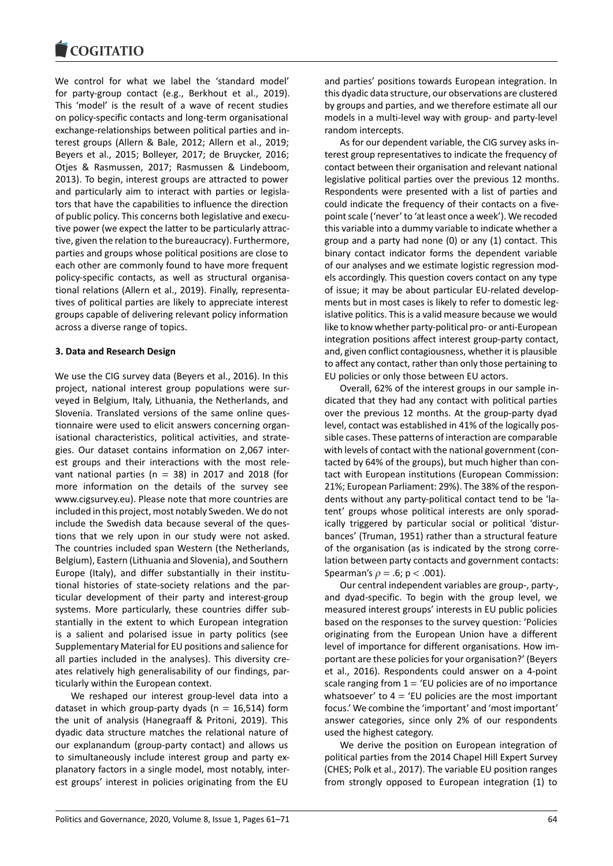We control for what we label the 'standard model' for party-group contact (e.g., Berkhout et al., 2019). This 'model' is the result of a wave of recent studies on policy-specific contacts and long-term organisational exchange-relationships between political parties and interest groups (Allern & Bale, 2012; Allern et al., 2019; Beyers et al., 2015; Bolleyer, 2017; de Bruycker, 2016; Otjes & Rasmussen, 2017; Rasmussen & Lindeboom, 2013). To begin, interest groups are attracted to power and particularly aim to interact with parties or legislators that have the capabilities to influence the direction of public policy. This concerns both legislative and executive power (we expect the latter to be particularly attractive, given the relation to the bureaucracy). Furthermore, parties and groups whose political positions are close to each other are commonly found to have more frequent policy-specific contacts, as well as structural organisational relations (Allern et al., 2019). Finally, representatives of political parties are likely to appreciate interest groups capable of delivering relevant policy information across a diverse range of topics.

# **3. Data and Research Design**

We use the CIG survey data (Beyers et al., 2016). In this project, national interest group populations were surveyed in Belgium, Italy, Lithuania, the Netherlands, and Slovenia. Translated versions of the same online questionnaire were used to elicit answers concerning organisational characteristics, political activities, and strategies. Our dataset contains information on 2,067 interest groups and their interactions with the most relevant national parties ( $n = 38$ ) in 2017 and 2018 (for more information on the details of the survey see www.cigsurvey.eu). Please note that more countries are included in this project, most notably Sweden. We do not include the Swedish data because several of the questions that we rely upon in our study were not asked. The countries included span Western (the Netherlands, Belgium), Eastern (Lithuania and Slovenia), and Southern Europe (Italy), and differ substantially in their institutional histories of state-society relations and the particular development of their party and interest-group systems. More particularly, these countries differ substantially in the extent to which European integration is a salient and polarised issue in party politics (see Supplementary Material for EU positions and salience for all parties included in the analyses). This diversity creates relatively high generalisability of our findings, particularly within the European context.

We reshaped our interest group-level data into a dataset in which group-party dyads ( $n = 16,514$ ) form the unit of analysis (Hanegraaff & Pritoni, 2019). This dyadic data structure matches the relational nature of our explanandum (group-party contact) and allows us to simultaneously include interest group and party explanatory factors in a single model, most notably, interest groups' interest in policies originating from the EU

and parties' positions towards European integration. In this dyadic data structure, our observations are clustered by groups and parties, and we therefore estimate all our models in a multi-level way with group- and party-level random intercepts.

As for our dependent variable, the CIG survey asks interest group representatives to indicate the frequency of contact between their organisation and relevant national legislative political parties over the previous 12 months. Respondents were presented with a list of parties and could indicate the frequency of their contacts on a fivepoint scale ('never' to 'at least once a week'). We recoded this variable into a dummy variable to indicate whether a group and a party had none (0) or any (1) contact. This binary contact indicator forms the dependent variable of our analyses and we estimate logistic regression models accordingly. This question covers contact on any type of issue; it may be about particular EU-related developments but in most cases is likely to refer to domestic legislative politics. This is a valid measure because we would like to know whether party-political pro- or anti-European integration positions affect interest group-party contact, and, given conflict contagiousness, whether it is plausible to affect any contact, rather than only those pertaining to EU policies or only those between EU actors.

Overall, 62% of the interest groups in our sample indicated that they had any contact with political parties over the previous 12 months. At the group-party dyad level, contact was established in 41% of the logically possible cases. These patterns of interaction are comparable with levels of contact with the national government (contacted by 64% of the groups), but much higher than contact with European institutions (European Commission: 21%; European Parliament: 29%). The 38% of the respondents without any party-political contact tend to be 'latent' groups whose political interests are only sporadically triggered by particular social or political 'disturbances' (Truman, 1951) rather than a structural feature of the organisation (as is indicated by the strong correlation between party contacts and government contacts: Spearman's  $\rho = .6$ ;  $p < .001$ ).

Our central independent variables are group-, party-, and dyad-specific. To begin with the group level, we measured interest groups' interests in EU public policies based on the responses to the survey question: 'Policies originating from the European Union have a different level of importance for different organisations. How important are these policies for your organisation?' (Beyers et al., 2016). Respondents could answer on a 4-point scale ranging from  $1 = 'EU$  policies are of no importance whatsoever' to  $4 = 2$ U policies are the most important focus.' We combine the 'important' and 'most important' answer categories, since only 2% of our respondents used the highest category.

We derive the position on European integration of political parties from the 2014 Chapel Hill Expert Survey (CHES; Polk et al., 2017). The variable EU position ranges from strongly opposed to European integration (1) to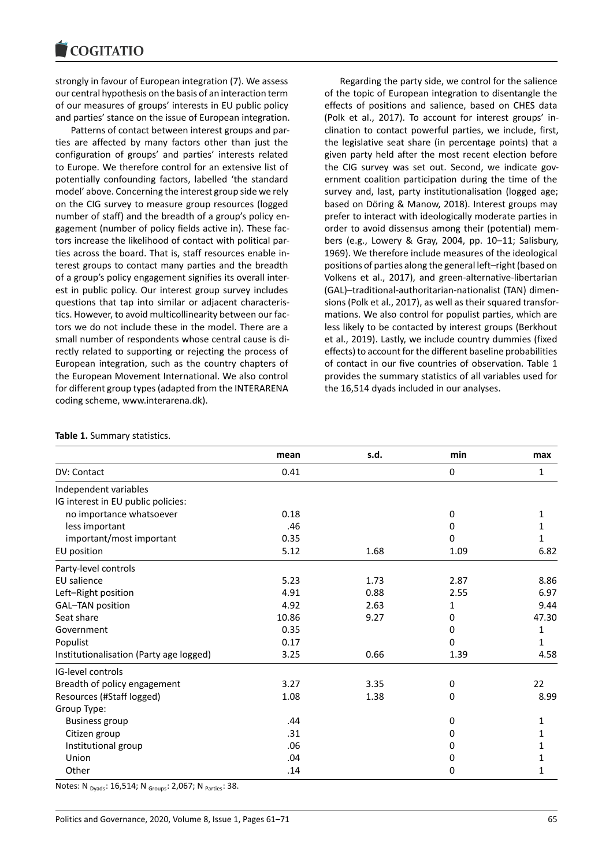strongly in favour of European integration (7). We assess our central hypothesis on the basis of an interaction term of our measures of groups' interests in EU public policy and parties' stance on the issue of European integration.

Patterns of contact between interest groups and parties are affected by many factors other than just the configuration of groups' and parties' interests related to Europe. We therefore control for an extensive list of potentially confounding factors, labelled 'the standard model' above. Concerning the interest group side we rely on the CIG survey to measure group resources (logged number of staff) and the breadth of a group's policy engagement (number of policy fields active in). These factors increase the likelihood of contact with political parties across the board. That is, staff resources enable interest groups to contact many parties and the breadth of a group's policy engagement signifies its overall interest in public policy. Our interest group survey includes questions that tap into similar or adjacent characteristics. However, to avoid multicollinearity between our factors we do not include these in the model. There are a small number of respondents whose central cause is directly related to supporting or rejecting the process of European integration, such as the country chapters of the European Movement International. We also control for different group types (adapted from the INTERARENA coding scheme, www.interarena.dk).

Regarding the party side, we control for the salience of the topic of European integration to disentangle the effects of positions and salience, based on CHES data (Polk et al., 2017). To account for interest groups' inclination to contact powerful parties, we include, first, the legislative seat share (in percentage points) that a given party held after the most recent election before the CIG survey was set out. Second, we indicate government coalition participation during the time of the survey and, last, party institutionalisation (logged age; based on Döring & Manow, 2018). Interest groups may prefer to interact with ideologically moderate parties in order to avoid dissensus among their (potential) members (e.g., Lowery & Gray, 2004, pp. 10–11; Salisbury, 1969). We therefore include measures of the ideological positions of parties along the general left–right (based on Volkens et al., 2017), and green-alternative-libertarian (GAL)–traditional-authoritarian-nationalist (TAN) dimensions (Polk et al., 2017), as well as their squared transformations. We also control for populist parties, which are less likely to be contacted by interest groups (Berkhout et al., 2019). Lastly, we include country dummies (fixed effects) to account for the different baseline probabilities of contact in our five countries of observation. Table 1 provides the summary statistics of all variables used for the 16,514 dyads included in our analyses.

|  |  | Table 1. Summary statistics. |  |
|--|--|------------------------------|--|
|--|--|------------------------------|--|

|                                         | mean  | s.d. | min         | max   |
|-----------------------------------------|-------|------|-------------|-------|
| DV: Contact                             | 0.41  |      | $\mathbf 0$ | 1     |
| Independent variables                   |       |      |             |       |
| IG interest in EU public policies:      |       |      |             |       |
| no importance whatsoever                | 0.18  |      | 0           | 1     |
| less important                          | .46   |      | 0           | 1     |
| important/most important                | 0.35  |      | 0           | 1     |
| EU position                             | 5.12  | 1.68 | 1.09        | 6.82  |
| Party-level controls                    |       |      |             |       |
| <b>EU</b> salience                      | 5.23  | 1.73 | 2.87        | 8.86  |
| Left-Right position                     | 4.91  | 0.88 | 2.55        | 6.97  |
| GAL-TAN position                        | 4.92  | 2.63 | 1           | 9.44  |
| Seat share                              | 10.86 | 9.27 | 0           | 47.30 |
| Government                              | 0.35  |      | 0           | 1     |
| Populist                                | 0.17  |      | 0           | 1     |
| Institutionalisation (Party age logged) | 3.25  | 0.66 | 1.39        | 4.58  |
| <b>IG-level controls</b>                |       |      |             |       |
| Breadth of policy engagement            | 3.27  | 3.35 | 0           | 22    |
| Resources (#Staff logged)               | 1.08  | 1.38 | 0           | 8.99  |
| Group Type:                             |       |      |             |       |
| <b>Business group</b>                   | .44   |      | 0           | 1     |
| Citizen group                           | .31   |      | 0           | 1     |
| Institutional group                     | .06   |      | 0           | 1     |
| Union                                   | .04   |      | 0           | 1     |
| Other                                   | .14   |      | 0           | 1     |

Notes: N <sub>Dyads</sub>: 16,514; N <sub>Groups</sub>: 2,067; N <sub>Parties</sub>: 38.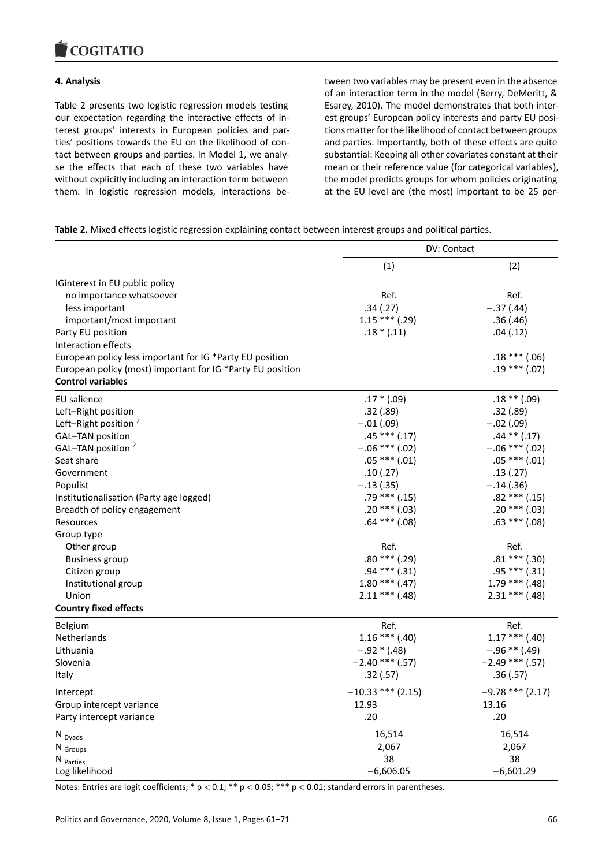#### COMITATIO

### **4. Analysis**

Table 2 presents two logistic regression models testing our expectation regarding the interactive effects of interest groups' interests in European policies and parties' positions towards the EU on the likelihood of contact between groups and parties. In Model 1, we analyse the effects that each of these two variables have without explicitly including an interaction term between them. In logistic regression models, interactions between two variables may be present even in the absence of an interaction term in the model (Berry, DeMeritt, & Esarey, 2010). The model demonstrates that both interest groups' European policy interests and party EU positions matter for the likelihood of contact between groups and parties. Importantly, both of these effects are quite substantial: Keeping all other covariates constant at their mean or their reference value (for categorical variables), the model predicts groups for whom policies originating at the EU level are (the most) important to be 25 per-

**Table 2.** Mixed effects logistic regression explaining contact between interest groups and political parties.

|                                                            |                     | DV: Contact        |
|------------------------------------------------------------|---------------------|--------------------|
|                                                            | (1)                 | (2)                |
| IGinterest in EU public policy                             |                     |                    |
| no importance whatsoever                                   | Ref.                | Ref.               |
| less important                                             | .34(.27)            | $-.37(.44)$        |
| important/most important                                   | $1.15***$ (.29)     | .36(.46)           |
| Party EU position                                          | $.18*(.11)$         | .04(.12)           |
| Interaction effects                                        |                     |                    |
| European policy less important for IG *Party EU position   |                     | $.18***(.06)$      |
| European policy (most) important for IG *Party EU position |                     | $.19***(.07)$      |
| <b>Control variables</b>                                   |                     |                    |
| EU salience                                                | $.17 * (.09)$       | $.18$ ** (.09)     |
| Left-Right position                                        | .32(.89)            | .32(.89)           |
| Left-Right position <sup>2</sup>                           | $-.01(.09)$         | $-.02(.09)$        |
| GAL-TAN position                                           | $.45***(.17)$       | $.44$ ** $(.17)$   |
| GAL-TAN position <sup>2</sup>                              | $-.06$ *** (.02)    | $-.06$ *** (.02)   |
| Seat share                                                 | $.05***(.01)$       | $.05***(.01)$      |
| Government                                                 | .10(.27)            | .13(.27)           |
| Populist                                                   | $-.13(.35)$         | $-.14(.36)$        |
| Institutionalisation (Party age logged)                    | $.79***$ $(.15)$    | $.82***$ (.15)     |
| Breadth of policy engagement                               | $.20***(.03)$       | $.20***(.03)$      |
| Resources                                                  | $.64$ *** $(.08)$   | $.63$ *** $(.08)$  |
| Group type                                                 |                     |                    |
| Other group                                                | Ref.                | Ref.               |
| <b>Business group</b>                                      | $.80***$ (.29)      | $.81***$ (.30)     |
| Citizen group                                              | $.94***$ $(.31)$    | $.95***$ $(.31)$   |
| Institutional group                                        | $1.80$ *** (.47)    | $1.79$ *** (.48)   |
| Union                                                      | $2.11***$ (.48)     | $2.31$ *** (.48)   |
| <b>Country fixed effects</b>                               |                     |                    |
| Belgium                                                    | Ref.                | Ref.               |
| Netherlands                                                | $1.16$ *** (.40)    | $1.17***$ (.40)    |
| Lithuania                                                  | $-.92 * (.48)$      | $-.96$ ** (.49)    |
| Slovenia                                                   | $-2.40$ *** (.57)   | $-2.49$ *** (.57)  |
| Italy                                                      | .32(.57)            | .36(.57)           |
| Intercept                                                  | $-10.33$ *** (2.15) | $-9.78$ *** (2.17) |
| Group intercept variance                                   | 12.93               | 13.16              |
| Party intercept variance                                   | .20                 | .20                |
| N <sub>Dyads</sub>                                         | 16,514              | 16,514             |
| N Groups                                                   | 2,067               | 2,067              |
| N <sub>Parties</sub>                                       | 38                  | 38                 |
| Log likelihood                                             | $-6,606.05$         | $-6,601.29$        |

Notes: Entries are logit coefficients; \* p < 0.1; \*\* p < 0.05; \*\*\* p < 0.01; standard errors in parentheses.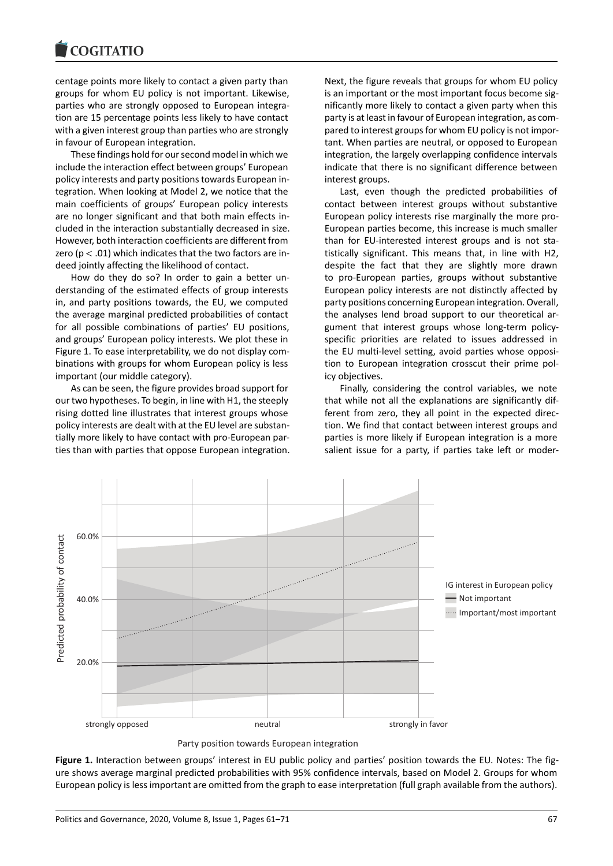centage points more likely to contact a given party than groups for whom EU policy is not important. Likewise, parties who are strongly opposed to European integration are 15 percentage points less likely to have contact with a given interest group than parties who are strongly in favour of European integration.

These findings hold for our second model in which we include the interaction effect between groups' European policy interests and party positions towards European integration. When looking at Model 2, we notice that the main coefficients of groups' European policy interests are no longer significant and that both main effects included in the interaction substantially decreased in size. However, both interaction coefficients are different from zero ( $p < .01$ ) which indicates that the two factors are indeed jointly affecting the likelihood of contact.

How do they do so? In order to gain a better understanding of the estimated effects of group interests in, and party positions towards, the EU, we computed the average marginal predicted probabilities of contact for all possible combinations of parties' EU positions, and groups' European policy interests. We plot these in Figure 1. To ease interpretability, we do not display combinations with groups for whom European policy is less important (our middle category).

As can be seen, the figure provides broad support for our two hypotheses. To begin, in line with H1, the steeply rising dotted line illustrates that interest groups whose policy interests are dealt with at the EU level are substantially more likely to have contact with pro-European parties than with parties that oppose European integration. Next, the figure reveals that groups for whom EU policy is an important or the most important focus become significantly more likely to contact a given party when this party is at least in favour of European integration, as compared to interest groups for whom EU policy is not important. When parties are neutral, or opposed to European integration, the largely overlapping confidence intervals indicate that there is no significant difference between interest groups.

Last, even though the predicted probabilities of contact between interest groups without substantive European policy interests rise marginally the more pro-European parties become, this increase is much smaller than for EU-interested interest groups and is not statistically significant. This means that, in line with H2, despite the fact that they are slightly more drawn to pro-European parties, groups without substantive European policy interests are not distinctly affected by party positions concerning European integration. Overall, the analyses lend broad support to our theoretical argument that interest groups whose long-term policyspecific priorities are related to issues addressed in the EU multi-level setting, avoid parties whose opposition to European integration crosscut their prime policy objectives.

Finally, considering the control variables, we note that while not all the explanations are significantly different from zero, they all point in the expected direction. We find that contact between interest groups and parties is more likely if European integration is a more salient issue for a party, if parties take left or moder-



Party position towards European integration

**Figure 1.** Interaction between groups' interest in EU public policy and parties' position towards the EU. Notes: The figure shows average marginal predicted probabilities with 95% confidence intervals, based on Model 2. Groups for whom European policy is less important are omitted from the graph to ease interpretation (full graph available from the authors).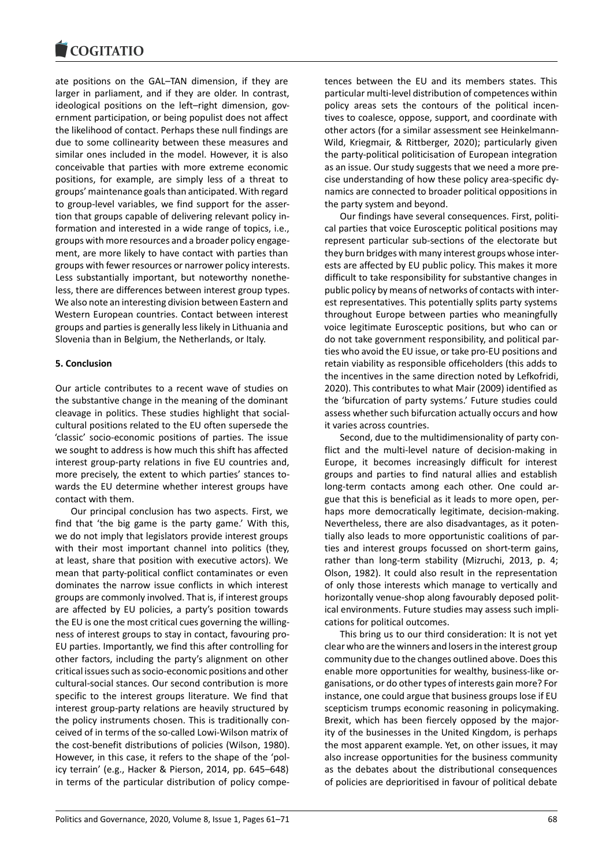ate positions on the GAL–TAN dimension, if they are larger in parliament, and if they are older. In contrast, ideological positions on the left–right dimension, government participation, or being populist does not affect the likelihood of contact. Perhaps these null findings are due to some collinearity between these measures and similar ones included in the model. However, it is also conceivable that parties with more extreme economic positions, for example, are simply less of a threat to groups' maintenance goals than anticipated. With regard to group-level variables, we find support for the assertion that groups capable of delivering relevant policy information and interested in a wide range of topics, i.e., groups with more resources and a broader policy engagement, are more likely to have contact with parties than groups with fewer resources or narrower policy interests. Less substantially important, but noteworthy nonetheless, there are differences between interest group types. We also note an interesting division between Eastern and Western European countries. Contact between interest groups and parties is generally less likely in Lithuania and Slovenia than in Belgium, the Netherlands, or Italy.

# **5. Conclusion**

Our article contributes to a recent wave of studies on the substantive change in the meaning of the dominant cleavage in politics. These studies highlight that socialcultural positions related to the EU often supersede the 'classic' socio-economic positions of parties. The issue we sought to address is how much this shift has affected interest group-party relations in five EU countries and, more precisely, the extent to which parties' stances towards the EU determine whether interest groups have contact with them.

Our principal conclusion has two aspects. First, we find that 'the big game is the party game.' With this, we do not imply that legislators provide interest groups with their most important channel into politics (they, at least, share that position with executive actors). We mean that party-political conflict contaminates or even dominates the narrow issue conflicts in which interest groups are commonly involved. That is, if interest groups are affected by EU policies, a party's position towards the EU is one the most critical cues governing the willingness of interest groups to stay in contact, favouring pro-EU parties. Importantly, we find this after controlling for other factors, including the party's alignment on other critical issues such as socio-economic positions and other cultural-social stances. Our second contribution is more specific to the interest groups literature. We find that interest group-party relations are heavily structured by the policy instruments chosen. This is traditionally conceived of in terms of the so-called Lowi-Wilson matrix of the cost-benefit distributions of policies (Wilson, 1980). However, in this case, it refers to the shape of the 'policy terrain' (e.g., Hacker & Pierson, 2014, pp. 645–648) in terms of the particular distribution of policy competences between the EU and its members states. This particular multi-level distribution of competences within policy areas sets the contours of the political incentives to coalesce, oppose, support, and coordinate with other actors (for a similar assessment see Heinkelmann-Wild, Kriegmair, & Rittberger, 2020); particularly given the party-political politicisation of European integration as an issue. Our study suggests that we need a more precise understanding of how these policy area-specific dynamics are connected to broader political oppositions in the party system and beyond.

Our findings have several consequences. First, political parties that voice Eurosceptic political positions may represent particular sub-sections of the electorate but they burn bridges with many interest groups whose interests are affected by EU public policy. This makes it more difficult to take responsibility for substantive changes in public policy by means of networks of contacts with interest representatives. This potentially splits party systems throughout Europe between parties who meaningfully voice legitimate Eurosceptic positions, but who can or do not take government responsibility, and political parties who avoid the EU issue, or take pro-EU positions and retain viability as responsible officeholders (this adds to the incentives in the same direction noted by Lefkofridi, 2020). This contributes to what Mair (2009) identified as the 'bifurcation of party systems.' Future studies could assess whether such bifurcation actually occurs and how it varies across countries.

Second, due to the multidimensionality of party conflict and the multi-level nature of decision-making in Europe, it becomes increasingly difficult for interest groups and parties to find natural allies and establish long-term contacts among each other. One could argue that this is beneficial as it leads to more open, perhaps more democratically legitimate, decision-making. Nevertheless, there are also disadvantages, as it potentially also leads to more opportunistic coalitions of parties and interest groups focussed on short-term gains, rather than long-term stability (Mizruchi, 2013, p. 4; Olson, 1982). It could also result in the representation of only those interests which manage to vertically and horizontally venue-shop along favourably deposed political environments. Future studies may assess such implications for political outcomes.

This bring us to our third consideration: It is not yet clear who are the winners and losers in the interest group community due to the changes outlined above. Does this enable more opportunities for wealthy, business-like organisations, or do other types of interests gain more? For instance, one could argue that business groups lose if EU scepticism trumps economic reasoning in policymaking. Brexit, which has been fiercely opposed by the majority of the businesses in the United Kingdom, is perhaps the most apparent example. Yet, on other issues, it may also increase opportunities for the business community as the debates about the distributional consequences of policies are deprioritised in favour of political debate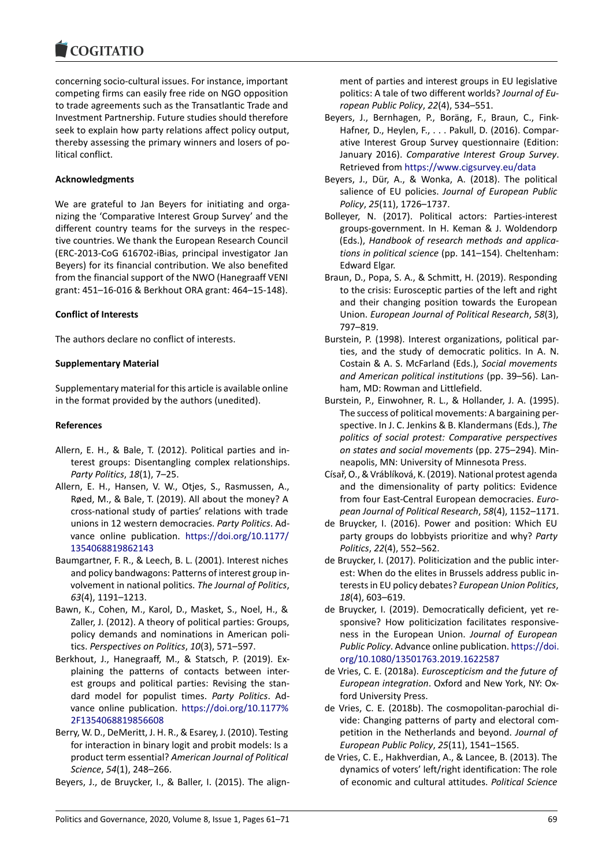concerning socio-cultural issues. For instance, important competing firms can easily free ride on NGO opposition to trade agreements such as the Transatlantic Trade and Investment Partnership. Future studies should therefore seek to explain how party relations affect policy output, thereby assessing the primary winners and losers of political conflict.

#### **Acknowledgments**

We are grateful to Jan Beyers for initiating and organizing the 'Comparative Interest Group Survey' and the different country teams for the surveys in the respective countries. We thank the European Research Council (ERC-2013-CoG 616702-iBias, principal investigator Jan Beyers) for its financial contribution. We also benefited from the financial support of the NWO (Hanegraaff VENI grant: 451–16-016 & Berkhout ORA grant: 464–15-148).

#### **Conflict of Interests**

The authors declare no conflict of interests.

### **Supplementary Material**

Supplementary material for this article is available online in the format provided by the authors (unedited).

#### **References**

- Allern, E. H., & Bale, T. (2012). Political parties and interest groups: Disentangling complex relationships. *Party Politics*, *18*(1), 7–25.
- Allern, E. H., Hansen, V. W., Otjes, S., Rasmussen, A., Røed, M., & Bale, T. (2019). All about the money? A cross-national study of parties' relations with trade unions in 12 western democracies. *Party Politics*. Advance online publication. https://doi.org/10.1177/ 1354068819862143
- Baumgartner, F. R., & Leech, B. L. (2001). Interest niches and policy bandwagons: Patterns of interest group involvement in national politics. *[The Journal of Politics](https://doi.org/10.1177/1354068819862143)*, *63*[\(4\), 1191–1213.](https://doi.org/10.1177/1354068819862143)
- Bawn, K., Cohen, M., Karol, D., Masket, S., Noel, H., & Zaller, J. (2012). A theory of political parties: Groups, policy demands and nominations in American politics. *Perspectives on Politics*, *10*(3), 571–597.
- Berkhout, J., Hanegraaff, M., & Statsch, P. (2019). Explaining the patterns of contacts between interest groups and political parties: Revising the standard model for populist times. *Party Politics*. Advance online publication. https://doi.org/10.1177% 2F1354068819856608
- Berry, W. D., DeMeritt, J. H. R., & Esarey, J. (2010). Testing for interaction in binary logit and probit models: Is a product term essential? *A[merican Journal of Political](https://doi.org/10.1177%2F1354068819856608) Science*, *54*[\(1\), 248–26](https://doi.org/10.1177%2F1354068819856608)6.
- Beyers, J., de Bruycker, I., & Baller, I. (2015). The align-

ment of parties and interest groups in EU legislative politics: A tale of two different worlds? *Journal of European Public Policy*, *22*(4), 534–551.

- Beyers, J., Bernhagen, P., Boräng, F., Braun, C., Fink-Hafner, D., Heylen, F., . . . Pakull, D. (2016). Comparative Interest Group Survey questionnaire (Edition: January 2016). *Comparative Interest Group Survey*. Retrieved from https://www.cigsurvey.eu/data
- Beyers, J., Dür, A., & Wonka, A. (2018). The political salience of EU policies. *Journal of European Public Policy*, *25*(11), 1726–1737.
- Bolleyer, N. (201[7\). Political actors: Parties-int](https://www.cigsurvey.eu/data)erest groups-government. In H. Keman & J. Woldendorp (Eds.), *Handbook of research methods and applications in political science* (pp. 141–154). Cheltenham: Edward Elgar.
- Braun, D., Popa, S. A., & Schmitt, H. (2019). Responding to the crisis: Eurosceptic parties of the left and right and their changing position towards the European Union. *European Journal of Political Research*, *58*(3), 797–819.
- Burstein, P. (1998). Interest organizations, political parties, and the study of democratic politics. In A. N. Costain & A. S. McFarland (Eds.), *Social movements and American political institutions* (pp. 39–56). Lanham, MD: Rowman and Littlefield.
- Burstein, P., Einwohner, R. L., & Hollander, J. A. (1995). The success of political movements: A bargaining perspective. In J. C. Jenkins & B. Klandermans (Eds.), *The politics of social protest: Comparative perspectives on states and social movements* (pp. 275–294). Minneapolis, MN: University of Minnesota Press.
- Císař, O., & Vráblíková, K. (2019). National protest agenda and the dimensionality of party politics: Evidence from four East-Central European democracies. *European Journal of Political Research*, *58*(4), 1152–1171.
- de Bruycker, I. (2016). Power and position: Which EU party groups do lobbyists prioritize and why? *Party Politics*, *22*(4), 552–562.
- de Bruycker, I. (2017). Politicization and the public interest: When do the elites in Brussels address public interests in EU policy debates? *European Union Politics*, *18*(4), 603–619.
- de Bruycker, I. (2019). Democratically deficient, yet responsive? How politicization facilitates responsiveness in the European Union. *Journal of European Public Policy*. Advance online publication. https://doi. org/10.1080/13501763.2019.1622587
- de Vries, C. E. (2018a). *Euroscepticism and the future of European integration*. Oxford and New York, NY: Oxford University Press.
- de [Vries, C. E. \(2018b\). The cosmopolitan](https://doi.org/10.1080/13501763.2019.1622587)-[parochial di](https://doi.org/10.1080/13501763.2019.1622587)vide: Changing patterns of party and electoral competition in the Netherlands and beyond. *Journal of European Public Policy*, *25*(11), 1541–1565.
- de Vries, C. E., Hakhverdian, A., & Lancee, B. (2013). The dynamics of voters' left/right identification: The role of economic and cultural attitudes. *Political Science*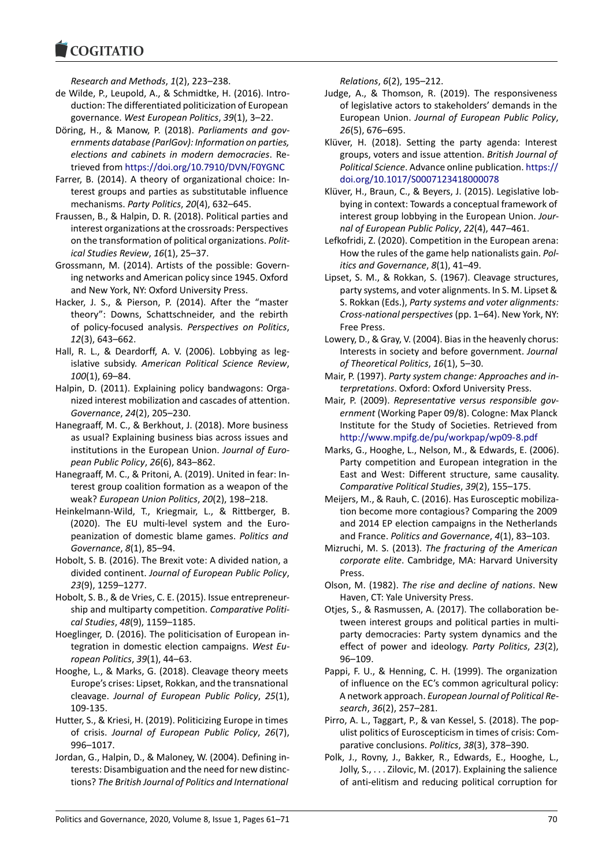*Research and Methods*, *1*(2), 223–238.

- de Wilde, P., Leupold, A., & Schmidtke, H. (2016). Introduction: The differentiated politicization of European governance. *West European Politics*, *39*(1), 3–22.
- Döring, H., & Manow, P. (2018). *Parliaments and governments database (ParlGov): Information on parties, elections and cabinets in modern democracies*. Retrieved from https://doi.org/10.7910/DVN/F0YGNC
- Farrer, B. (2014). A theory of organizational choice: Interest groups and parties as substitutable influence mechanisms. *Party Politics*, *20*(4), 632–645.
- Fraussen, B., & [Halpin, D. R. \(2018\). Political parties and](https://doi.org/10.7910/DVN/F0YGNC) interest organizations at the crossroads: Perspectives on the transformation of political organizations. *Political Studies Review*, *16*(1), 25–37.
- Grossmann, M. (2014). Artists of the possible: Governing networks and American policy since 1945. Oxford and New York, NY: Oxford University Press.
- Hacker, J. S., & Pierson, P. (2014). After the "master theory": Downs, Schattschneider, and the rebirth of policy-focused analysis. *Perspectives on Politics*, *12*(3), 643–662.
- Hall, R. L., & Deardorff, A. V. (2006). Lobbying as legislative subsidy. *American Political Science Review*, *100*(1), 69–84.
- Halpin, D. (2011). Explaining policy bandwagons: Organized interest mobilization and cascades of attention. *Governance*, *24*(2), 205–230.
- Hanegraaff, M. C., & Berkhout, J. (2018). More business as usual? Explaining business bias across issues and institutions in the European Union. *Journal of European Public Policy*, *26*(6), 843–862.
- Hanegraaff, M. C., & Pritoni, A. (2019). United in fear: Interest group coalition formation as a weapon of the weak? *European Union Politics*, *20*(2), 198–218.
- Heinkelmann-Wild, T., Kriegmair, L., & Rittberger, B. (2020). The EU multi-level system and the Europeanization of domestic blame games. *Politics and Governance*, *8*(1), 85–94.
- Hobolt, S. B. (2016). The Brexit vote: A divided nation, a divided continent. *Journal of European Public Policy*, *23*(9), 1259–1277.
- Hobolt, S. B., & de Vries, C. E. (2015). Issue entrepreneurship and multiparty competition. *Comparative Political Studies*, *48*(9), 1159–1185.
- Hoeglinger, D. (2016). The politicisation of European integration in domestic election campaigns. *West European Politics*, *39*(1), 44–63.
- Hooghe, L., & Marks, G. (2018). Cleavage theory meets Europe's crises: Lipset, Rokkan, and the transnational cleavage. *Journal of European Public Policy*, *25*(1), 109-135.
- Hutter, S., & Kriesi, H. (2019). Politicizing Europe in times of crisis. *Journal of European Public Policy*, *26*(7), 996–1017.
- Jordan, G., Halpin, D., & Maloney, W. (2004). Defining interests: Disambiguation and the need for new distinctions? *The British Journal of Politics and International*

*Relations*, *6*(2), 195–212.

- Judge, A., & Thomson, R. (2019). The responsiveness of legislative actors to stakeholders' demands in the European Union. *Journal of European Public Policy*, *26*(5), 676–695.
- Klüver, H. (2018). Setting the party agenda: Interest groups, voters and issue attention. *British Journal of Political Science*. Advance online publication. https:// doi.org/10.1017/S0007123418000078
- Klüver, H., Braun, C., & Beyers, J. (2015). Legislative lobbying in context: Towards a conceptual framework of interest group lobbying in the European Union. *[Jour](https://doi.org/10.1017/S0007123418000078)[nal of European Public Policy](https://doi.org/10.1017/S0007123418000078)*, *22*(4), 447–461.
- Lefkofridi, Z. (2020). Competition in the European arena: How the rules of the game help nationalists gain. *Politics and Governance*, *8*(1), 41–49.
- Lipset, S. M., & Rokkan, S. (1967). Cleavage structures, party systems, and voter alignments. In S. M. Lipset & S. Rokkan (Eds.), *Party systems and voter alignments: Cross-national perspectives*(pp. 1–64). New York, NY: Free Press.
- Lowery, D., & Gray, V. (2004). Bias in the heavenly chorus: Interests in society and before government. *Journal of Theoretical Politics*, *16*(1), 5–30.
- Mair, P. (1997). *Party system change: Approaches and interpretations*. Oxford: Oxford University Press.
- Mair, P. (2009). *Representative versus responsible government* (Working Paper 09/8). Cologne: Max Planck Institute for the Study of Societies. Retrieved from http://www.mpifg.de/pu/workpap/wp09-8.pdf
- Marks, G., Hooghe, L., Nelson, M., & Edwards, E. (2006). Party competition and European integration in the East and West: Different structure, same causality. *[Comparative Political Studies](http://www.mpifg.de/pu/workpap/wp09-8.pdf)*, *39*(2), 155–175.
- Meijers, M., & Rauh, C. (2016). Has Eurosceptic mobilization become more contagious? Comparing the 2009 and 2014 EP election campaigns in the Netherlands and France. *Politics and Governance*, *4*(1), 83–103.
- Mizruchi, M. S. (2013). *The fracturing of the American corporate elite*. Cambridge, MA: Harvard University Press.
- Olson, M. (1982). *The rise and decline of nations*. New Haven, CT: Yale University Press.
- Otjes, S., & Rasmussen, A. (2017). The collaboration between interest groups and political parties in multiparty democracies: Party system dynamics and the effect of power and ideology. *Party Politics*, *23*(2), 96–109.
- Pappi, F. U., & Henning, C. H. (1999). The organization of influence on the EC's common agricultural policy: A network approach. *European Journal of Political Research*, *36*(2), 257–281.
- Pirro, A. L., Taggart, P., & van Kessel, S. (2018). The populist politics of Euroscepticism in times of crisis: Comparative conclusions. *Politics*, *38*(3), 378–390.
- Polk, J., Rovny, J., Bakker, R., Edwards, E., Hooghe, L., Jolly, S., . . . Zilovic, M. (2017). Explaining the salience of anti-elitism and reducing political corruption for